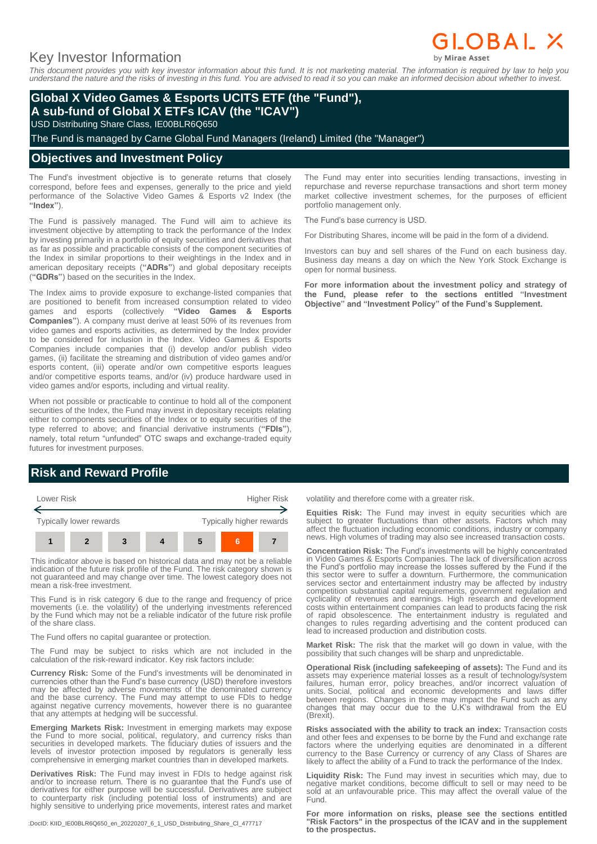# GLOBAL X

## Key Investor Information

*This document provides you with key investor information about this fund. It is not marketing material. The information is required by law to help you understand the nature and the risks of investing in this fund. You are advised to read it so you can make an informed decision about whether to invest.*

## **Global X Video Games & Esports UCITS ETF (the "Fund"), A sub-fund of Global X ETFs ICAV (the "ICAV")**

USD Distributing Share Class, IE00BLR6Q650

The Fund is managed by Carne Global Fund Managers (Ireland) Limited (the "Manager")

#### **Objectives and Investment Policy**

The Fund's investment objective is to generate returns that closely correspond, before fees and expenses, generally to the price and yield performance of the Solactive Video Games & Esports v2 Index (the **"Index"**).

The Fund is passively managed. The Fund will aim to achieve its investment objective by attempting to track the performance of the Index by investing primarily in a portfolio of equity securities and derivatives that as far as possible and practicable consists of the component securities of the Index in similar proportions to their weightings in the Index and in american depositary receipts (**"ADRs"**) and global depositary receipts (**"GDRs"**) based on the securities in the Index.

The Index aims to provide exposure to exchange-listed companies that are positioned to benefit from increased consumption related to video games and esports (collectively **"Video Games & Esports Companies"**). A company must derive at least 50% of its revenues from video games and esports activities, as determined by the Index provider to be considered for inclusion in the Index. Video Games & Esports Companies include companies that (i) develop and/or publish video games, (ii) facilitate the streaming and distribution of video games and/or esports content, (iii) operate and/or own competitive esports leagues and/or competitive esports teams, and/or (iv) produce hardware used in video games and/or esports, including and virtual reality.

When not possible or practicable to continue to hold all of the component securities of the Index, the Fund may invest in depositary receipts relating either to components securities of the Index or to equity securities of the type referred to above; and financial derivative instruments (**"FDIs"**), namely, total return "unfunded" OTC swaps and exchange-traded equity futures for investment purposes.

## **Risk and Reward Profile**



This indicator above is based on historical data and may not be a reliable indication of the future risk profile of the Fund. The risk category shown is not guaranteed and may change over time. The lowest category does not mean a risk-free investment.

This Fund is in risk category 6 due to the range and frequency of price movements (i.e. the volatility) of the underlying investments referenced by the Fund which may not be a reliable indicator of the future risk profile of the share class.

The Fund offers no capital guarantee or protection.

The Fund may be subject to risks which are not included in the calculation of the risk-reward indicator. Key risk factors include:

**Currency Risk:** Some of the Fund's investments will be denominated in currencies other than the Fund's base currency (USD) therefore investors may be affected by adverse movements of the denominated currency and the base currency. The Fund may attempt to use FDIs to hedge against negative currency movements, however there is no guarantee that any attempts at hedging will be successful.

**Emerging Markets Risk:** Investment in emerging markets may expose the Fund to more social, political, regulatory, and currency risks than securities in developed markets. The fiduciary duties of issuers and the levels of investor protection imposed by regulators is generally less comprehensive in emerging market countries than in developed markets.

**Derivatives Risk:** The Fund may invest in FDIs to hedge against risk and/or to increase return. There is no guarantee that the Fund's use of derivatives for either purpose will be successful. Derivatives are subject to counterparty risk (including potential loss of instruments) and are highly sensitive to underlying price movements, interest rates and market

:DocID: KIID\_IE00BLR6Q650\_en\_20220207\_6\_1\_USD\_Distributing\_Share\_Cl\_477717

The Fund may enter into securities lending transactions, investing in repurchase and reverse repurchase transactions and short term money market collective investment schemes, for the purposes of efficient portfolio management only.

The Fund's base currency is USD.

For Distributing Shares, income will be paid in the form of a dividend.

Investors can buy and sell shares of the Fund on each business day. Business day means a day on which the New York Stock Exchange is open for normal business.

**For more information about the investment policy and strategy of the Fund, please refer to the sections entitled "Investment Objective" and "Investment Policy" of the Fund's Supplement.**

volatility and therefore come with a greater risk.

**Equities Risk:** The Fund may invest in equity securities which are subject to greater fluctuations than other assets. Factors which may affect the fluctuation including economic conditions, industry or company news. High volumes of trading may also see increased transaction costs.

**Concentration Risk:** The Fund's investments will be highly concentrated in Video Games & Esports Companies. The lack of diversification across the Fund's portfolio may increase the losses suffered by the Fund if the this sector were to suffer a downturn. Furthermore, the communication services sector and entertainment industry may be affected by industry competition substantial capital requirements, government regulation and cyclicality of revenues and earnings. High research and development costs within entertainment companies can lead to products facing the risk of rapid obsolescence. The entertainment industry is regulated and changes to rules regarding advertising and the content produced can lead to increased production and distribution costs.

**Market Risk:** The risk that the market will go down in value, with the possibility that such changes will be sharp and unpredictable.

**Operational Risk (including safekeeping of assets):** The Fund and its assets may experience material losses as a result of technology/system failures, human error, policy breaches, and/or incorrect valuation of units. Social, political and economic developments and laws differ between regions. Changes in these may impact the Fund such as any changes that may occur due to the U.K's withdrawal from the EU (Brexit).

**Risks associated with the ability to track an index:** Transaction costs and other fees and expenses to be borne by the Fund and exchange rate factors where the underlying equities are denominated in a different currency to the Base Currency or currency of any Class of Shares are likely to affect the ability of a Fund to track the performance of the Index.

**Liquidity Risk:** The Fund may invest in securities which may, due to negative market conditions, become difficult to sell or may need to be sold at an unfavourable price. This may affect the overall value of the Fund.

**For more information on risks, please see the sections entitled "Risk Factors" in the prospectus of the ICAV and in the supplement to the prospectus.**